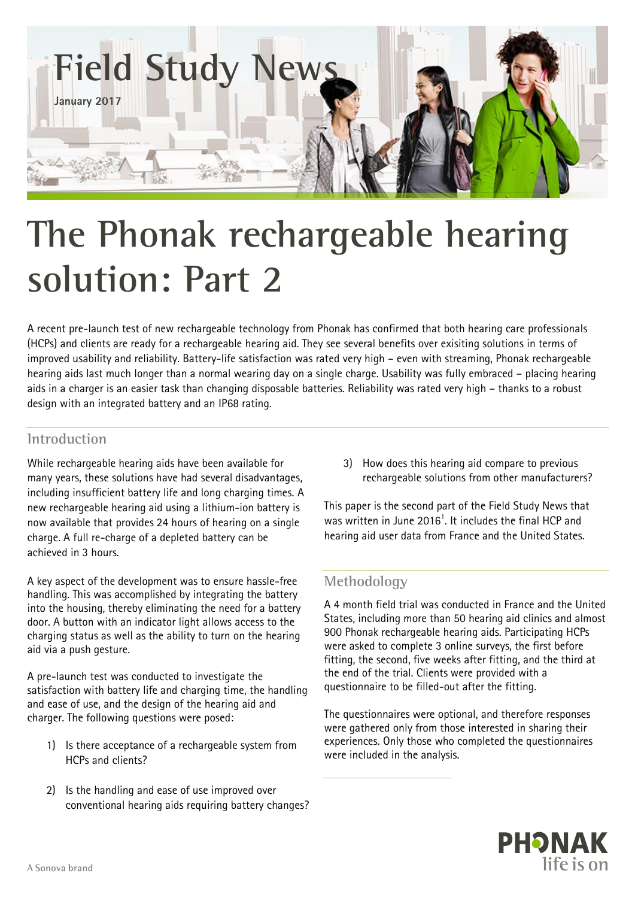

# **The Phonak rechargeable hearing solution: Part 2**

A recent pre-launch test of new rechargeable technology from Phonak has confirmed that both hearing care professionals (HCPs) and clients are ready for a rechargeable hearing aid. They see several benefits over exisiting solutions in terms of improved usability and reliability. Battery-life satisfaction was rated very high – even with streaming, Phonak rechargeable hearing aids last much longer than a normal wearing day on a single charge. Usability was fully embraced – placing hearing aids in a charger is an easier task than changing disposable batteries. Reliability was rated very high – thanks to a robust design with an integrated battery and an IP68 rating.

## **Introduction**

While rechargeable hearing aids have been available for many years, these solutions have had several disadvantages, including insufficient battery life and long charging times. A new rechargeable hearing aid using a lithium-ion battery is now available that provides 24 hours of hearing on a single charge. A full re-charge of a depleted battery can be achieved in 3 hours.

A key aspect of the development was to ensure hassle-free handling. This was accomplished by integrating the battery into the housing, thereby eliminating the need for a battery door. A button with an indicator light allows access to the charging status as well as the ability to turn on the hearing aid via a push gesture.

A pre-launch test was conducted to investigate the satisfaction with battery life and charging time, the handling and ease of use, and the design of the hearing aid and charger. The following questions were posed:

- 1) Is there acceptance of a rechargeable system from HCPs and clients?
- 2) Is the handling and ease of use improved over conventional hearing aids requiring battery changes?

3) How does this hearing aid compare to previous rechargeable solutions from other manufacturers?

This paper is the second part of the Field Study News that was written in June 2016 $^1$ . It includes the final HCP and hearing aid user data from France and the United States.

# **Methodology**

A 4 month field trial was conducted in France and the United States, including more than 50 hearing aid clinics and almost 900 Phonak rechargeable hearing aids. Participating HCPs were asked to complete 3 online surveys, the first before fitting, the second, five weeks after fitting, and the third at the end of the trial. Clients were provided with a questionnaire to be filled-out after the fitting.

The questionnaires were optional, and therefore responses were gathered only from those interested in sharing their experiences. Only those who completed the questionnaires were included in the analysis.

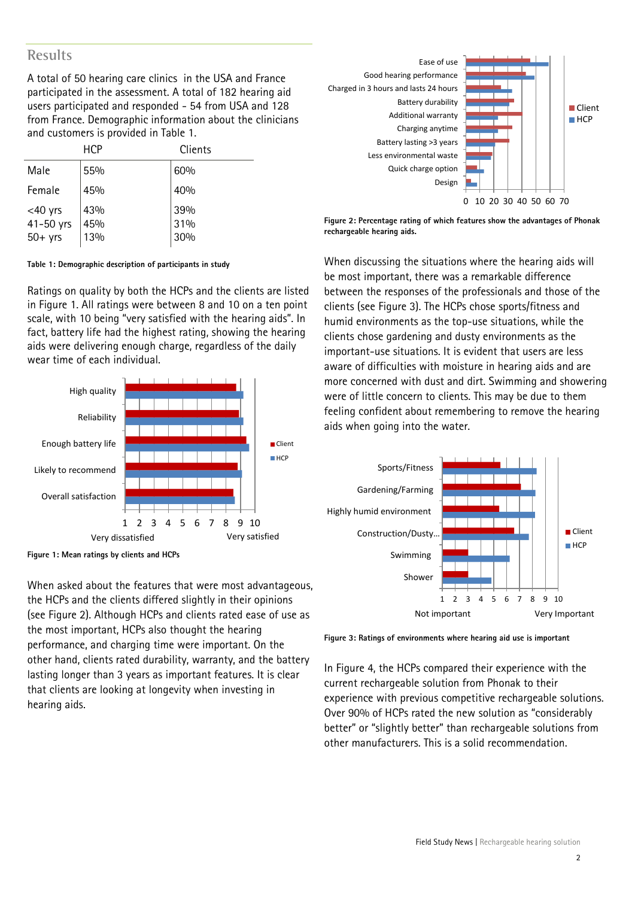## **Results**

A total of 50 hearing care clinics in the USA and France participated in the assessment. A total of 182 hearing aid users participated and responded - 54 from USA and 128 from France. Demographic information about the clinicians and customers is provided in Table 1.

|            | <b>HCP</b> | Clients |
|------------|------------|---------|
| Male       | 55%        | 60%     |
| Female     | 45%        | 40%     |
| $<$ 40 yrs | 43%        | 39%     |
| 41-50 yrs  | 45%        | 31%     |
| $50+$ yrs  | 13%        | 30%     |

**Table 1: Demographic description of participants in study**

Ratings on quality by both the HCPs and the clients are listed in Figure 1. All ratings were between 8 and 10 on a ten point scale, with 10 being "very satisfied with the hearing aids". In fact, battery life had the highest rating, showing the hearing aids were delivering enough charge, regardless of the daily wear time of each individual.



**Figure 1: Mean ratings by clients and HCPs**

When asked about the features that were most advantageous, the HCPs and the clients differed slightly in their opinions (see Figure 2). Although HCPs and clients rated ease of use as the most important, HCPs also thought the hearing performance, and charging time were important. On the other hand, clients rated durability, warranty, and the battery lasting longer than 3 years as important features. It is clear that clients are looking at longevity when investing in hearing aids.



**Figure 2: Percentage rating of which features show the advantages of Phonak rechargeable hearing aids.**

When discussing the situations where the hearing aids will be most important, there was a remarkable difference between the responses of the professionals and those of the clients (see Figure 3). The HCPs chose sports/fitness and humid environments as the top-use situations, while the clients chose gardening and dusty environments as the important-use situations. It is evident that users are less aware of difficulties with moisture in hearing aids and are more concerned with dust and dirt. Swimming and showering were of little concern to clients. This may be due to them feeling confident about remembering to remove the hearing aids when going into the water.



**Figure 3: Ratings of environments where hearing aid use is important**

In Figure 4, the HCPs compared their experience with the current rechargeable solution from Phonak to their experience with previous competitive rechargeable solutions. Over 90% of HCPs rated the new solution as "considerably better" or "slightly better" than rechargeable solutions from other manufacturers. This is a solid recommendation.